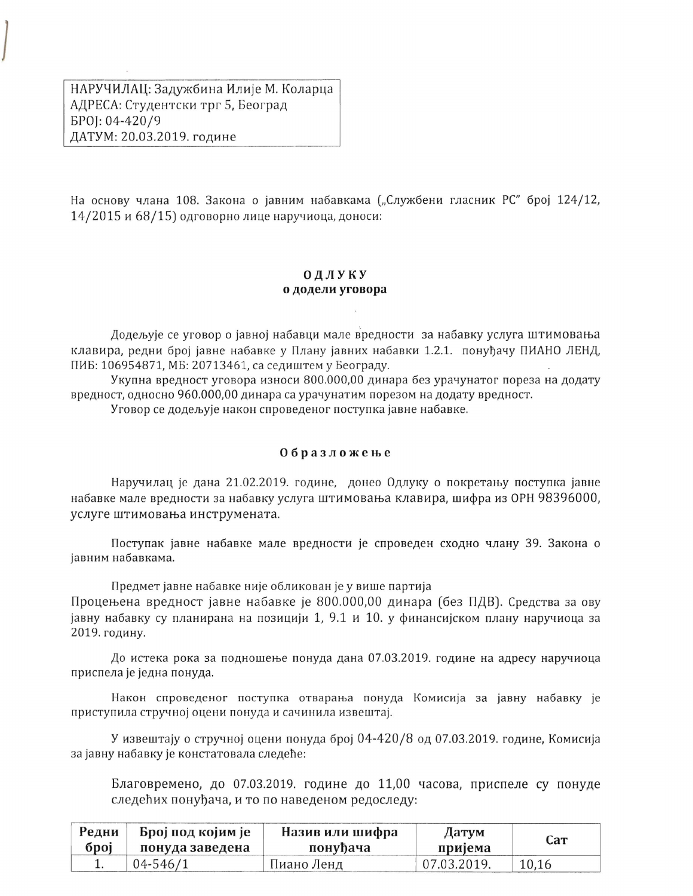НАРУЧИЛАЦ: Задужбина Илије М. Коларца АДРЕСА: Студентски трг 5, Београд EP0]: 04-420/9 ДАТУМ: 20.03.2019. године

На основу члана 108. Закона о јавним набавкама ("Службени гласник РС" број 124/12, 14/2015 и 68/15) одговорно лице наручиоца, доноси:

## ОДЛУКУ о додели уговора

Додељује се уговор о јавној набавци мале вредности за набавку услуга штимовања клавира, редни број јавне набавке у Плану јавних набавки 1.2.1. понуђачу ПИАНО ЛЕНД, ПИБ: 106954871, МБ: 20713461, са седиштем у Београду.

Укупна вредност уговора износи 800.000,00 динара без урачунатог пореза на додату вредност, односно 960.000,00 динара са урачунатим порезом на додату вредност.

Уговор се додељује након спроведеног поступка јавне набавке.

## Образложење

Наручилац је дана 21.02.2019. године, донео Одлуку о покретању поступка јавне набавке мале вредности за набавку услуга штимовања клавира, шифра из ОРН 98396000, услуге штимовања инструмената.

Поступак јавне набавке мале вредности је спроведен сходно члану 39. Закона о јавним набавкама.

Предмет јавне набавке није обликован је у више партија

Процењена вредност јавне набавке је 800.000,00 динара (без ПДВ). Средства за ову јавну набавку су планирана на позицији 1, 9.1 и 10. у финансијском плану наручиоца за 2019. годину.

До истека рока за подношење понуда дана 07.03.2019. године на адресу наручиоца приспела је једна понуда.

Након спроведеног поступка отварања понуда Комисија за јавну набавку је приступила стручној оцени понуда и сачинила извештај.

У извештају о стручној оцени понуда број 04-420/8 од 07.03.2019. године, Комисија за јавну набавку је констатовала следеће:

Благовремено, до 07.03.2019. године до 11,00 часова, приспеле су понуде следећих понуђача, и то по наведеном редоследу:

| Редни | Број под којим је | Назив или шифра<br>Датум |             | Cат   |
|-------|-------------------|--------------------------|-------------|-------|
| број  | понуда заведена   | понуђача                 | пријема     |       |
|       | 04-546/1          | Пиано Ленд               | 07.03.2019. | 10,16 |